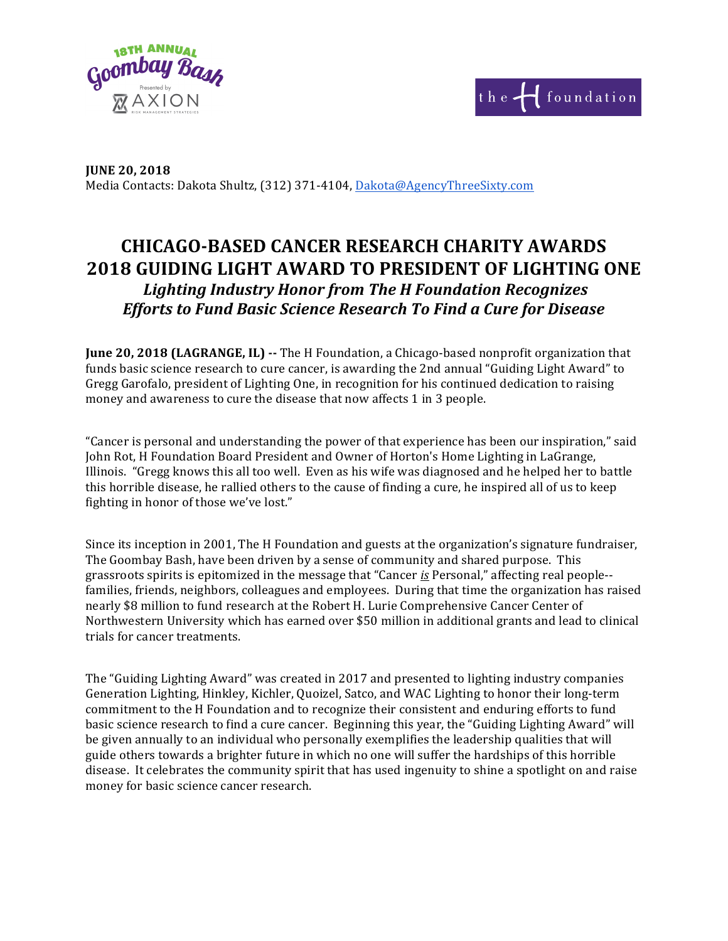



**JUNE 20, 2018** Media Contacts: Dakota Shultz, (312) 371-4104, Dakota@AgencyThreeSixty.com

## **CHICAGO-BASED CANCER RESEARCH CHARITY AWARDS 2018 GUIDING LIGHT AWARD TO PRESIDENT OF LIGHTING ONE** Lighting Industry Honor from The H Foundation Recognizes *Efforts to Fund Basic Science Research To Find a Cure for Disease*

**June 20, 2018 (LAGRANGE, IL) --** The H Foundation, a Chicago-based nonprofit organization that funds basic science research to cure cancer, is awarding the 2nd annual "Guiding Light Award" to Gregg Garofalo, president of Lighting One, in recognition for his continued dedication to raising money and awareness to cure the disease that now affects 1 in 3 people.

"Cancer is personal and understanding the power of that experience has been our inspiration," said John Rot, H Foundation Board President and Owner of Horton's Home Lighting in LaGrange, Illinois. "Gregg knows this all too well. Even as his wife was diagnosed and he helped her to battle this horrible disease, he rallied others to the cause of finding a cure, he inspired all of us to keep fighting in honor of those we've lost."

Since its inception in 2001, The H Foundation and guests at the organization's signature fundraiser, The Goombay Bash, have been driven by a sense of community and shared purpose. This grassroots spirits is epitomized in the message that "Cancer is Personal," affecting real people-families, friends, neighbors, colleagues and employees. During that time the organization has raised nearly \$8 million to fund research at the Robert H. Lurie Comprehensive Cancer Center of Northwestern University which has earned over \$50 million in additional grants and lead to clinical trials for cancer treatments.

The "Guiding Lighting Award" was created in 2017 and presented to lighting industry companies Generation Lighting, Hinkley, Kichler, Quoizel, Satco, and WAC Lighting to honor their long-term commitment to the H Foundation and to recognize their consistent and enduring efforts to fund basic science research to find a cure cancer. Beginning this year, the "Guiding Lighting Award" will be given annually to an individual who personally exemplifies the leadership qualities that will guide others towards a brighter future in which no one will suffer the hardships of this horrible disease. It celebrates the community spirit that has used ingenuity to shine a spotlight on and raise money for basic science cancer research.